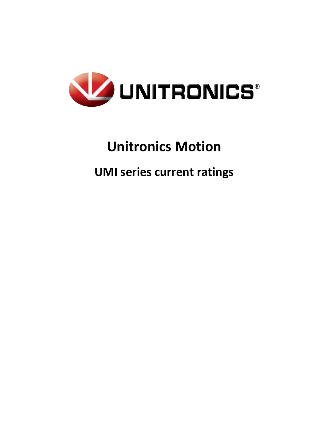

# **Unitronics Motion**

# **UMI series current ratings**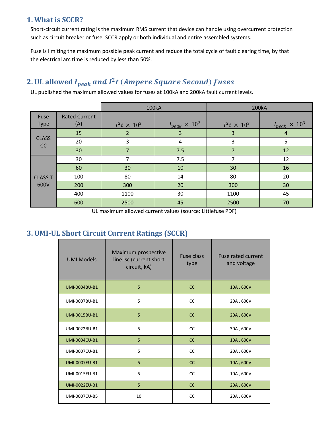## **1. What is SCCR?**

Short-circuit current rating is the maximum RMS current that device can handle using overcurrent protection such as circuit breaker or fuse. SCCR apply or both individual and entire assembled systems.

Fuse is limiting the maximum possible peak current and reduce the total cycle of fault clearing time, by that the electrical arc time is reduced by less than 50%.

# 2. UL allowed I $_{peak}$  and I $^2$ t (Ampere Square Second) fuses

UL published the maximum allowed values for fuses at 100kA and 200kA fault current levels.

|                        |                             | <b>100kA</b>       |                        | 200kA              |                        |
|------------------------|-----------------------------|--------------------|------------------------|--------------------|------------------------|
| Fuse<br><b>Type</b>    | <b>Rated Current</b><br>(A) | $I^2t \times 10^3$ | $I_{peak} \times 10^3$ | $I^2t \times 10^3$ | $I_{peak} \times 10^3$ |
| <b>CLASS</b><br>CC     | 15                          | 2                  | 3                      | 3                  | $\overline{4}$         |
|                        | 20                          | 3                  | 4                      | 3                  | 5                      |
|                        | 30                          | 7                  | 7.5                    | 7                  | 12                     |
| <b>CLASS T</b><br>600V | 30                          | 7                  | 7.5                    | 7                  | 12                     |
|                        | 60                          | 30                 | 10                     | 30                 | 16                     |
|                        | 100                         | 80                 | 14                     | 80                 | 20                     |
|                        | 200                         | 300                | 20                     | 300                | 30                     |
|                        | 400                         | 1100               | 30                     | 1100               | 45                     |
|                        | 600                         | 2500               | 45                     | 2500               | 70                     |

UL maximum allowed current values (source: Littlefuse PDF)

# **3. UMI-UL Short Circuit Current Ratings (SCCR)**

| <b>UMI Models</b>    | Maximum prospective<br>line Isc (current short<br>circuit, kA) | <b>Fuse class</b><br>type | Fuse rated current<br>and voltage |
|----------------------|----------------------------------------------------------------|---------------------------|-----------------------------------|
| <b>UMI-0004BU-B1</b> | 5                                                              | <sub>CC</sub>             | 10A, 600V                         |
| UMI-0007BU-B1        | 5                                                              | <b>CC</b>                 | 20A, 600V                         |
| <b>UMI-0015BU-B1</b> | 5                                                              | <b>CC</b>                 | 20A, 600V                         |
| UMI-0022BU-B1        | 5                                                              | <b>CC</b>                 | 30A, 600V                         |
| <b>UMI-0004CU-B1</b> | 5                                                              | CC                        | 10A, 600V                         |
| UMI-0007CU-B1        | 5                                                              | <b>CC</b>                 | 20A, 600V                         |
| <b>UMI-0007EU-B1</b> | 5                                                              | <b>CC</b>                 | 10A, 600V                         |
| UMI-0015EU-B1        | 5                                                              | <b>CC</b>                 | 10A, 600V                         |
| <b>UMI-0022EU-B1</b> | 5                                                              | CC                        | 20A, 600V                         |
| UMI-0007CU-B5        | 10                                                             | CC                        | 20A, 600V                         |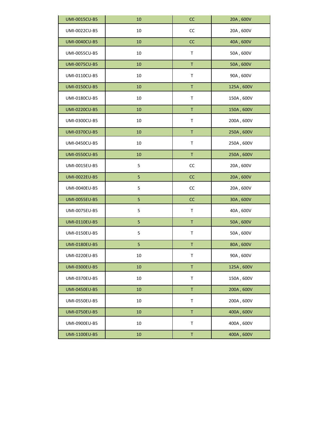| <b>UMI-0015CU-B5</b> | 10          | cc           | 20A, 600V                         |
|----------------------|-------------|--------------|-----------------------------------|
| UMI-0022CU-B5        | 10          | cc           | 20A, 600V                         |
| <b>UMI-0040CU-B5</b> | 10          | cc           | 40A, 600V                         |
| UMI-0055CU-B5        | 10          | $\mathsf{T}$ | 50A, 600V                         |
| <b>UMI-0075CU-B5</b> | 10          | $\mathsf T$  | 50A, 600V                         |
| UMI-0110CU-B5        | 10          | T            | 90A, 600V                         |
| <b>UMI-0150CU-B5</b> | 10          | $\mathsf T$  | 125A, 600V                        |
| UMI-0180CU-B5        | 10          | Τ            | $150\mathrm{A}$ , $600\mathrm{V}$ |
| <b>UMI-0220CU-B5</b> | 10          | $\mathsf T$  | 150A, 600V                        |
| UMI-0300CU-B5        | 10          | Τ            | 200A, 600V                        |
| <b>UMI-0370CU-B5</b> | 10          | $\mathsf T$  | 250A, 600V                        |
| UMI-0450CU-B5        | 10          | Τ            | 250A, 600V                        |
| <b>UMI-0550CU-B5</b> | 10          | $\mathsf T$  | 250A, 600V                        |
| UMI-0015EU-B5        | 5           | cc           | 20A, 600V                         |
| <b>UMI-0022EU-B5</b> | 5           | cc           | 20A, 600V                         |
| UMI-0040EU-B5        | 5           | cc           | 20A, 600V                         |
| <b>UMI-0055EU-B5</b> | 5           | cc           | 30A, 600V                         |
| UMI-0075EU-B5        | 5           | Τ            | 40A, 600V                         |
| <b>UMI-0110EU-B5</b> | 5           | $\mathsf T$  | 50A, 600V                         |
| UMI-0150EU-B5        | $\mathsf S$ | Τ            | 50A, 600V                         |
| <b>UMI-0180EU-B5</b> | 5           | $\mathsf T$  | 80A, 600V                         |
| UMI-0220EU-B5        | 10          | Τ            | 90A, 600V                         |
| <b>UMI-0300EU-B5</b> | 10          | $\mathsf T$  | 125A, 600V                        |
| UMI-0370EU-B5        | 10          | $\mathsf{T}$ | 150A, 600V                        |
| <b>UMI-0450EU-B5</b> | 10          | $\mathsf T$  | 200A, 600V                        |
| UMI-0550EU-B5        | 10          | $\mathsf{T}$ | 200A, 600V                        |
| <b>UMI-0750EU-B5</b> | 10          | $\mathsf T$  | 400A, 600V                        |
| UMI-0900EU-B5        | 10          | $\mathsf{T}$ | 400A, 600V                        |
| <b>UMI-1100EU-B5</b> | $10\,$      | $\mathsf T$  | 400A, 600V                        |